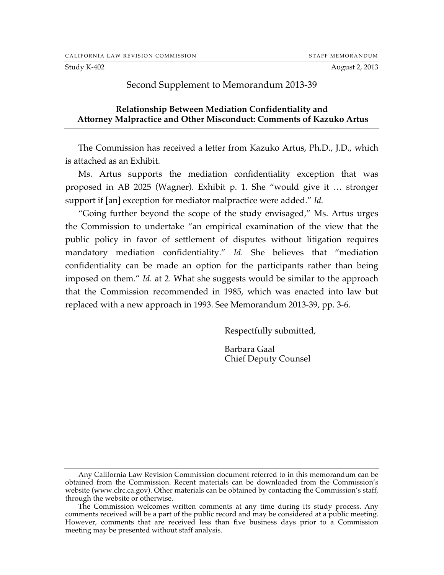Study K-402 **August 2, 2013** 

## Second Supplement to Memorandum 2013-39

## **Relationship Between Mediation Confidentiality and Attorney Malpractice and Other Misconduct: Comments of Kazuko Artus**

The Commission has received a letter from Kazuko Artus, Ph.D., J.D., which is attached as an Exhibit.

Ms. Artus supports the mediation confidentiality exception that was proposed in AB 2025 (Wagner). Exhibit p. 1. She "would give it … stronger support if [an] exception for mediator malpractice were added." *Id.*

"Going further beyond the scope of the study envisaged," Ms. Artus urges the Commission to undertake "an empirical examination of the view that the public policy in favor of settlement of disputes without litigation requires mandatory mediation confidentiality." *Id.* She believes that "mediation confidentiality can be made an option for the participants rather than being imposed on them." *Id.* at 2. What she suggests would be similar to the approach that the Commission recommended in 1985, which was enacted into law but replaced with a new approach in 1993. See Memorandum 2013-39, pp. 3-6.

Respectfully submitted,

Barbara Gaal Chief Deputy Counsel

Any California Law Revision Commission document referred to in this memorandum can be obtained from the Commission. Recent materials can be downloaded from the Commission's website (www.clrc.ca.gov). Other materials can be obtained by contacting the Commission's staff, through the website or otherwise.

The Commission welcomes written comments at any time during its study process. Any comments received will be a part of the public record and may be considered at a public meeting. However, comments that are received less than five business days prior to a Commission meeting may be presented without staff analysis.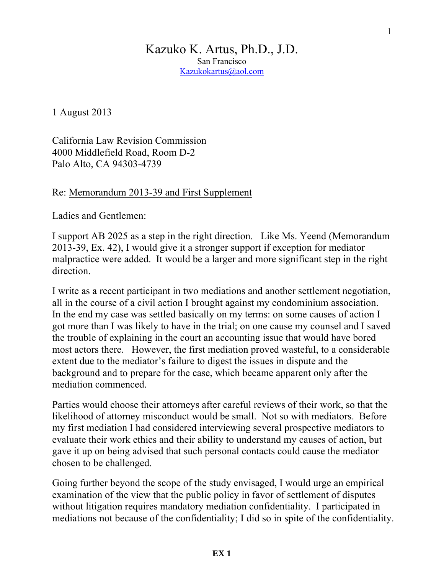## Kazuko K. Artus, Ph.D., J.D. San Francisco Kazukokartus@aol.com

1 August 2013

California Law Revision Commission 4000 Middlefield Road, Room D-2 Palo Alto, CA 94303-4739

Re: Memorandum 2013-39 and First Supplement

Ladies and Gentlemen:

I support AB 2025 as a step in the right direction. Like Ms. Yeend (Memorandum 2013-39, Ex. 42), I would give it a stronger support if exception for mediator malpractice were added. It would be a larger and more significant step in the right direction.

I write as a recent participant in two mediations and another settlement negotiation, all in the course of a civil action I brought against my condominium association. In the end my case was settled basically on my terms: on some causes of action I got more than I was likely to have in the trial; on one cause my counsel and I saved the trouble of explaining in the court an accounting issue that would have bored most actors there. However, the first mediation proved wasteful, to a considerable extent due to the mediator's failure to digest the issues in dispute and the background and to prepare for the case, which became apparent only after the mediation commenced.

Parties would choose their attorneys after careful reviews of their work, so that the likelihood of attorney misconduct would be small. Not so with mediators. Before my first mediation I had considered interviewing several prospective mediators to evaluate their work ethics and their ability to understand my causes of action, but gave it up on being advised that such personal contacts could cause the mediator chosen to be challenged.

Going further beyond the scope of the study envisaged, I would urge an empirical examination of the view that the public policy in favor of settlement of disputes without litigation requires mandatory mediation confidentiality. I participated in mediations not because of the confidentiality; I did so in spite of the confidentiality.